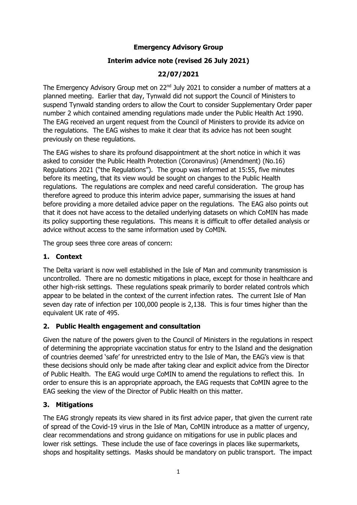## **Emergency Advisory Group**

# **Interim advice note (revised 26 July 2021)**

# **22/07/2021**

The Emergency Advisory Group met on 22<sup>nd</sup> July 2021 to consider a number of matters at a planned meeting. Earlier that day, Tynwald did not support the Council of Ministers to suspend Tynwald standing orders to allow the Court to consider Supplementary Order paper number 2 which contained amending regulations made under the Public Health Act 1990. The EAG received an urgent request from the Council of Ministers to provide its advice on the regulations. The EAG wishes to make it clear that its advice has not been sought previously on these regulations.

The EAG wishes to share its profound disappointment at the short notice in which it was asked to consider the Public Health Protection (Coronavirus) (Amendment) (No.16) Regulations 2021 ("the Regulations"). The group was informed at 15:55, five minutes before its meeting, that its view would be sought on changes to the Public Health regulations. The regulations are complex and need careful consideration. The group has therefore agreed to produce this interim advice paper, summarising the issues at hand before providing a more detailed advice paper on the regulations. The EAG also points out that it does not have access to the detailed underlying datasets on which CoMIN has made its policy supporting these regulations. This means it is difficult to offer detailed analysis or advice without access to the same information used by CoMIN.

The group sees three core areas of concern:

## **1. Context**

The Delta variant is now well established in the Isle of Man and community transmission is uncontrolled. There are no domestic mitigations in place, except for those in healthcare and other high-risk settings. These regulations speak primarily to border related controls which appear to be belated in the context of the current infection rates. The current Isle of Man seven day rate of infection per 100,000 people is 2,138. This is four times higher than the equivalent UK rate of 495.

### **2. Public Health engagement and consultation**

Given the nature of the powers given to the Council of Ministers in the regulations in respect of determining the appropriate vaccination status for entry to the Island and the designation of countries deemed 'safe' for unrestricted entry to the Isle of Man, the EAG's view is that these decisions should only be made after taking clear and explicit advice from the Director of Public Health. The EAG would urge CoMIN to amend the regulations to reflect this. In order to ensure this is an appropriate approach, the EAG requests that CoMIN agree to the EAG seeking the view of the Director of Public Health on this matter.

# **3. Mitigations**

The EAG strongly repeats its view shared in its first advice paper, that given the current rate of spread of the Covid-19 virus in the Isle of Man, CoMIN introduce as a matter of urgency, clear recommendations and strong guidance on mitigations for use in public places and lower risk settings. These include the use of face coverings in places like supermarkets, shops and hospitality settings. Masks should be mandatory on public transport. The impact